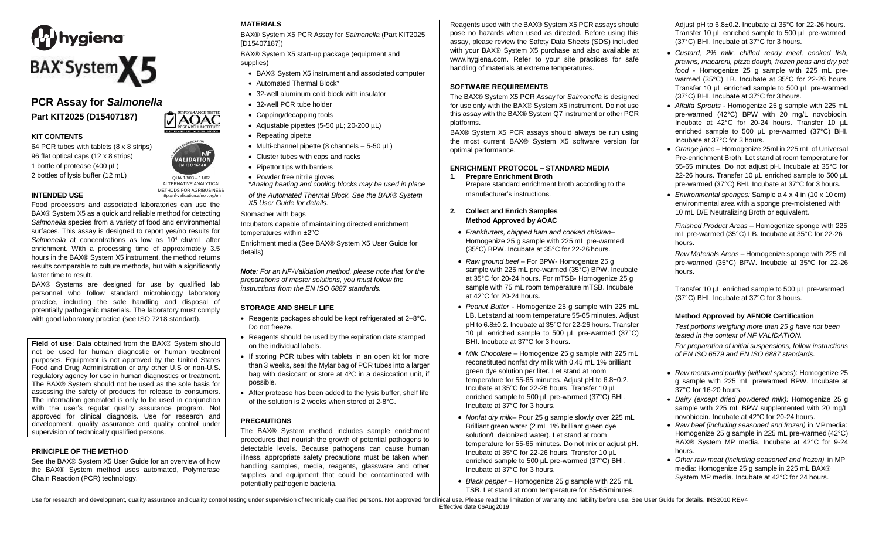

# **PCR Assay for** *Salmonella* **Part KIT2025 (D15407187)**

### **KIT CONTENTS**

64 PCR tubes with tablets (8 x 8 strips) 96 flat optical caps (12 x 8 strips) 1 bottle of protease (400 µL) 2 bottles of lysis buffer (12 mL) QUA 18/03 – 11/02

**EN ISO 16140** ALTERNATIVE ANALYTICAL METHODS FOR AGRIBUSINESS<br>http://nf-validation.afnor.org/en

## **INTENDED USE**

Food processors and associated laboratories can use the BAX® System X5 as a quick and reliable method for detecting *Salmonella* species from a variety of food and environmental surfaces. This assay is designed to report yes/no results for Salmonella at concentrations as low as 10<sup>4</sup> cfu/mL after enrichment. With a processing time of approximately 3.5 hours in the BAX® System X5 instrument, the method returns results comparable to culture methods, but with a significantly faster time to result.

BAX® Systems are designed for use by qualified lab personnel who follow standard microbiology laboratory practice, including the safe handling and disposal of potentially pathogenic materials. The laboratory must comply with good laboratory practice (see ISO 7218 standard).

**Field of use**: Data obtained from the BAX® System should not be used for human diagnostic or human treatment purposes. Equipment is not approved by the United States Food and Drug Administration or any other U.S or non-U.S. regulatory agency for use in human diagnostics or treatment. The BAX® System should not be used as the sole basis for assessing the safety of products for release to consumers. The information generated is only to be used in conjunction with the user's regular quality assurance program. Not approved for clinical diagnosis. Use for research and development, quality assurance and quality control under supervision of technically qualified persons.

#### **PRINCIPLE OF THE METHOD**

See the BAX® System X5 User Guide for an overview of how the BAX® System method uses automated, Polymerase Chain Reaction (PCR) technology.

### **MATERIALS**

BAX® System X5 PCR Assay for *Salmonella* (Part KIT2025 [D15407187])

BAX® System X5 start-up package (equipment and supplies)

- BAX® System X5 instrument and associated computer
- Automated Thermal Block\*
- 32-well aluminum cold block with insulator
- 32-well PCR tube holder
- Capping/decapping tools
- Adjustable pipettes (5-50 µL; 20-200 µL)
- Repeating pipette
- Multi-channel pipette (8 channels  $-5-50 \mu L$ )
- Cluster tubes with caps and racks
- Pipettor tips with barriers
- Powder free nitrile gloves
- *\*Analog heating and cooling blocks may be used in place X5 User Guide for details.*

Stomacher with bags

Incubators capable of maintaining directed enrichment temperatures within ±2°C

Enrichment media (See BAX® System X5 User Guide for details)

*Note: For an NF-Validation method, please note that for the preparations of master solutions, you must follow the instructions from the EN ISO 6887 standards.*

### **STORAGE AND SHELF LIFE**

- Reagents packages should be kept refrigerated at 2–8°C. Do not freeze.
- Reagents should be used by the expiration date stamped on the individual labels.
- If storing PCR tubes with tablets in an open kit for more than 3 weeks, seal the Mylar bag of PCR tubes into a larger bag with desiccant or store at 4ºC in a desiccation unit, if possible.
- After protease has been added to the lysis buffer, shelf life of the solution is 2 weeks when stored at 2-8°C.

## **PRECAUTIONS**

The BAX® System method includes sample enrichment procedures that nourish the growth of potential pathogens to detectable levels. Because pathogens can cause human illness, appropriate safety precautions must be taken when handling samples, media, reagents, glassware and other supplies and equipment that could be contaminated with potentially pathogenic bacteria.

Reagents used with the BAX® System X5 PCR assays should pose no hazards when used as directed. Before using this assay, please review the Safety Data Sheets (SDS) included with your BAX® System X5 purchase and also available at [www.hygiena.com.](http://www.hygiena.com/) Refer to your site practices for safe handling of materials at extreme temperatures.

## **SOFTWARE REQUIREMENTS**

The BAX® System X5 PCR Assay for *Salmonella* is designed for use only with the BAX® System X5 instrument. Do not use this assay with the BAX® System Q7 instrument or other PCR platforms.

BAX® System X5 PCR assays should always be run using the most current BAX® System X5 software version for optimal performance.

#### **ENRICHMENT PROTOCOL – STANDARD MEDIA**

**1. Prepare Enrichment Broth** Prepare standard enrichment broth according to the

### **2. Collect and Enrich Samples Method Approved by AOAC**

- *Frankfurters, chipped ham and cooked chicken–* Homogenize 25 g sample with 225 mL pre-warmed (35°C) BPW. Incubate at 35°C for 22-26 hours.
- *Raw ground beef –* For BPW- Homogenize 25 g sample with 225 mL pre-warmed (35°C) BPW. Incubate at 35°C for 20-24 hours. For mTSB- Homogenize 25 g sample with 75 mL room temperature mTSB. Incubate at 42°C for 20-24 hours.
- *Peanut Butter -* Homogenize 25 g sample with 225 mL LB. Let stand at room temperature 55-65 minutes. Adjust pH to 6.8±0.2. Incubate at 35°C for 22-26 hours. Transfer 10 μL enriched sample to 500 μL pre-warmed (37°C) BHI. Incubate at 37°C for 3 hours.
- *Milk Chocolate –* Homogenize 25 g sample with 225 mL reconstituted nonfat dry milk with 0.45 mL 1% brilliant green dye solution per liter. Let stand at room temperature for 55-65 minutes. Adjust pH to 6.8±0.2. Incubate at 35°C for 22-26 hours. Transfer 10 µL enriched sample to 500 µL pre-warmed (37°C) BHI. Incubate at 37°C for 3 hours.
- *Nonfat dry milk–* Pour 25 g sample slowly over 225 mL Brilliant green water (2 mL 1% brilliant green dye solution/L deionized water). Let stand at room temperature for 55-65 minutes. Do not mix or adjust pH. Incubate at 35°C for 22-26 hours. Transfer 10 µL enriched sample to 500 µL pre-warmed (37°C) BHI. Incubate at 37°C for 3 hours.
- *Black pepper –* Homogenize 25 g sample with 225 mL TSB. Let stand at room temperature for 55-65minutes.

Adjust pH to 6.8±0.2. Incubate at 35°C for 22-26 hours. Transfer 10 µL enriched sample to 500 µL pre-warmed (37°C) BHI. Incubate at 37°C for 3 hours.

- *Custard, 2% milk, chilled ready meal, cooked fish, prawns, macaroni, pizza dough, frozen peas and dry pet food -* Homogenize 25 g sample with 225 mL prewarmed (35°C) LB. Incubate at 35°C for 22-26 hours. Transfer 10 μL enriched sample to 500 μL pre-warmed (37°C) BHI. Incubate at 37°C for 3 hours.
- *Alfalfa Sprouts -* Homogenize 25 g sample with 225 mL pre-warmed (42°C) BPW with 20 mg/L novobiocin. Incubate at 42°C for 20-24 hours. Transfer 10 µL enriched sample to 500 µL pre-warmed (37°C) BHI. Incubate at 37°C for 3 hours.
- *Orange juice –* Homogenize 25ml in 225 mL of Universal Pre-enrichment Broth. Let stand at room temperature for 55-65 minutes. Do not adjust pH. Incubate at 35°C for 22-26 hours. Transfer 10 µL enriched sample to 500 µL pre-warmed (37°C) BHI. Incubate at 37°C for 3 hours.
- of the Automated Thermal Block. See the BAX® System manufacturer's instructions.  $\blacksquare$  **•** *Environmental sponges:* Sample a 4 x 4 in (10 x 10 cm) environmental area with a sponge pre-moistened with 10 mL D/E Neutralizing Broth or equivalent.

*Finished Product Areas* – Homogenize sponge with 225 mL pre-warmed (35°C) LB. Incubate at 35°C for 22-26 hours.

*Raw Materials Areas* – Homogenize sponge with 225 mL pre-warmed (35°C) BPW. Incubate at 35°C for 22-26 hours.

Transfer 10 µL enriched sample to 500 µL pre-warmed (37°C) BHI. Incubate at 37°C for 3 hours.

### **Method Approved by AFNOR Certification**

*Test portions weighing more than 25 g have not been tested in the context of NF VALIDATION.*

*For preparation of initial suspensions, follow instructions of EN ISO 6579 and EN ISO 6887 standards.*

- *Raw meats and poultry (without spices*): Homogenize 25 g sample with 225 mL prewarmed BPW. Incubate at 37°C for 16-20 hours.
- *Dairy (except dried powdered milk):* Homogenize 25 g sample with 225 mL BPW supplemented with 20 mg/L novobiocin. Incubate at 42°C for 20-24 hours.
- *Raw beef (including seasoned and frozen)* in MPmedia: Homogenize 25 g sample in 225 mL pre-warmed (42°C) BAX® System MP media. Incubate at 42°C for 9-24 hours.
- *Other raw meat (including seasoned and frozen)* in MP media: Homogenize 25 g sample in 225 mL BAX® System MP media. Incubate at 42°C for 24 hours.

Use for research and development, quality assurance and quality control testing under supervision of technically qualified persons. Not approved for clinical use. Please read the limitation of warranty and liability before Effective date 06Aug2019

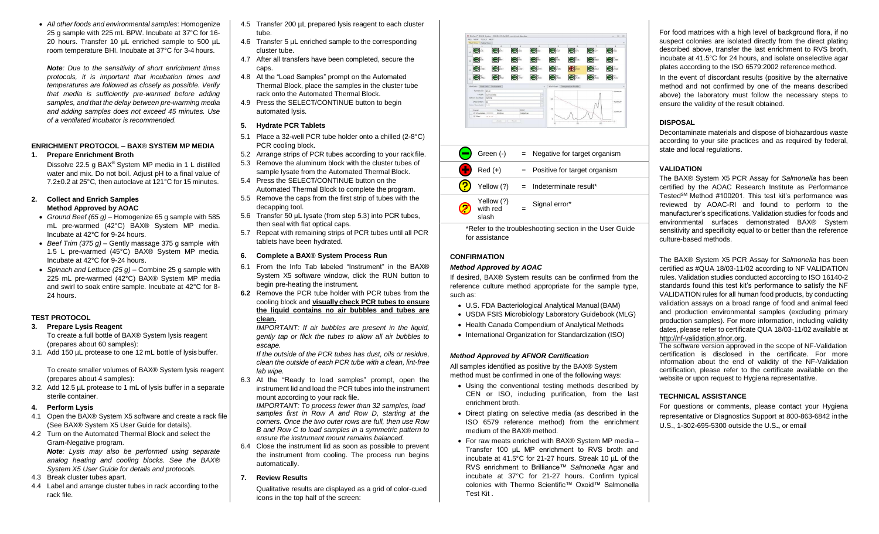• *All other foods and environmental samples*: Homogenize 25 g sample with 225 mL BPW. Incubate at 37°C for 16- 20 hours. Transfer 10 µL enriched sample to 500 µL room temperature BHI. Incubate at 37°C for 3-4 hours.

*Note: Due to the sensitivity of short enrichment times protocols, it is important that incubation times and temperatures are followed as closely as possible. Verify that media is sufficiently pre-warmed before adding samples, and that the delay between pre-warming media and adding samples does not exceed 45 minutes. Use of a ventilated incubator is recommended.*

#### **ENRICHMENT PROTOCOL – BAX® SYSTEM MP MEDIA**

**1. Prepare Enrichment Broth** Dissolve 22.5 g BAX® System MP media in 1 L distilled water and mix. Do not boil. Adjust pH to a final value of

7.2±0.2 at 25°C, then autoclave at 121°C for 15 minutes.

#### **2. Collect and Enrich Samples Method Approved by AOAC**

- *Ground Beef (65 g) –* Homogenize 65 g sample with 585 mL pre-warmed (42°C) BAX® System MP media. Incubate at 42°C for 9-24 hours.
- *Beef Trim (375 g) –* Gently massage 375 g sample with 1.5 L pre-warmed (45°C) BAX® System MP media. Incubate at 42°C for 9-24 hours.
- *Spinach and Lettuce (25 g) –* Combine 25 g sample with 225 mL pre-warmed (42°C) BAX® System MP media and swirl to soak entire sample. Incubate at 42°C for 8- 24 hours.

#### **TEST PROTOCOL**

**3. Prepare Lysis Reagent**

To create a full bottle of BAX® System lysis reagent (prepares about 60 samples):

3.1. Add 150 µL protease to one 12 mL bottle of lysis buffer.

To create smaller volumes of BAX® System lysis reagent (prepares about 4 samples):

- 3.2. Add 12.5 µL protease to 1 mL of lysis buffer in a separate sterile container.
- **4. Perform Lysis**
- 4.1 Open the BAX® System X5 software and create a rack file (See BAX® System X5 User Guide for details).
- 4.2 Turn on the Automated Thermal Block and select the Gram-Negative program. *Note: Lysis may also be performed using separate analog heating and cooling blocks. See the BAX® System X5 User Guide for details and protocols.*
- 4.3 Break cluster tubes apart.
- 4.4 Label and arrange cluster tubes in rack according to the rack file.
- 4.5 Transfer 200 µL prepared lysis reagent to each cluster tube.
- 4.6 Transfer 5 µL enriched sample to the corresponding cluster tube.
- 4.7 After all transfers have been completed, secure the caps.
- 4.8 At the "Load Samples" prompt on the Automated Thermal Block, place the samples in the cluster tube rack onto the Automated Thermal Block.
- 4.9 Press the SELECT/CONTINUE button to begin automated lysis.

#### **5. Hydrate PCR Tablets**

- 5.1 Place a 32-well PCR tube holder onto a chilled (2-8°C) PCR cooling block.
- 5.2 Arrange strips of PCR tubes according to your rack file. 5.3 Remove the aluminum block with the cluster tubes of
- sample lysate from the Automated Thermal Block. 5.4 Press the SELECT/CONTINUE button on the Automated Thermal Block to complete the program.
- 5.5 Remove the caps from the first strip of tubes with the decapping tool.
- 5.6 Transfer 50 μL lysate (from step 5.3) into PCR tubes, then seal with flat optical caps.
- 5.7 Repeat with remaining strips of PCR tubes until all PCR tablets have been hydrated.

#### **6. Complete a BAX® System Process Run**

- 6.1 From the Info Tab labeled "Instrument" in the BAX® System X5 software window, click the RUN button to begin pre-heating the instrument.
- **6.2** Remove the PCR tube holder with PCR tubes from the cooling block and **visually check PCR tubes to ensure the liquid contains no air bubbles and tubes are clean.**

*IMPORTANT: If air bubbles are present in the liquid, gently tap or flick the tubes to allow all air bubbles to escape.*

*If the outside of the PCR tubes has dust, oils or residue, clean the outside of each PCR tube with a clean, lint-free lab wipe.*

6.3 At the "Ready to load samples" prompt, open the instrument lid and load the PCR tubes into the instrument mount according to your rack file.

*IMPORTANT: To process fewer than 32 samples, load samples first in Row A and Row D, starting at the corners. Once the two outer rows are full, then use Row B and Row C to load samples in a symmetric pattern to ensure the instrument mount remains balanced.*

- 6.4 Close the instrument lid as soon as possible to prevent the instrument from cooling. The process run begins automatically.
- **7. Review Results**

Qualitative results are displayed as a grid of color-cued icons in the top half of the screen:



| Green (-)                       | $=$ Negative for target organism     |
|---------------------------------|--------------------------------------|
| $Red (+)$                       | $=$ Positive for target organism     |
|                                 | Yellow $(?) =$ Indeterminate result* |
| Yellow (?)<br>with red<br>slash | Signal error*                        |
|                                 |                                      |

\*Refer to the troubleshooting section in the User Guide for assistance

## **CONFIRMATION**

### *Method Approved by AOAC*

If desired, BAX® System results can be confirmed from the reference culture method appropriate for the sample type, such as:

- U.S. FDA Bacteriological Analytical Manual (BAM)
- USDA FSIS Microbiology Laboratory Guidebook (MLG)
- Health Canada Compendium of Analytical Methods
- International Organization for Standardization (ISO)

### *Method Approved by AFNOR Certification*

All samples identified as positive by the BAX® System method must be confirmed in one of the following ways:

- Using the conventional testing methods described by CEN or ISO, including purification, from the last enrichment broth.
- Direct plating on selective media (as described in the ISO 6579 reference method) from the enrichment medium of the BAX® method.
- For raw meats enriched with BAX® System MP media Transfer 100 μL MP enrichment to RVS broth and incubate at 41.5°C for 21-27 hours. Streak 10 µL of the RVS enrichment to Brilliance™ *Salmonella* Agar and incubate at 37°C for 21-27 hours. Confirm typical colonies with Thermo Scientific™ Oxoid™ Salmonella Test Kit .

For food matrices with a high level of background flora, if no suspect colonies are isolated directly from the direct plating described above, transfer the last enrichment to RVS broth, incubate at 41.5°C for 24 hours, and isolate onselective agar plates according to the ISO 6579:2002 reference method.

In the event of discordant results (positive by the alternative method and not confirmed by one of the means described above) the laboratory must follow the necessary steps to ensure the validity of the result obtained.

#### **DISPOSAL**

Decontaminate materials and dispose of biohazardous waste according to your site practices and as required by federal, state and local regulations.

#### **VALIDATION**

The BAX® System X5 PCR Assay for *Salmonella* has been certified by the AOAC Research Institute as Performance Tested<sup>SM</sup> Method #100201. This test kit's performance was reviewed by AOAC-RI and found to perform to the manufacturer's specifications. Validation studies for foods and environmental surfaces demonstrated BAX® System sensitivity and specificity equal to or better than the reference culture-based methods.

The BAX® System X5 PCR Assay for *Salmonella* has been certified as #QUA 18/03-11/02 according to NF VALIDATION rules. Validation studies conducted according to ISO 16140-2 standards found this test kit's performance to satisfy the NF VALIDATION rules for all human food products, by conducting validation assays on a broad range of food and animal feed and production environmental samples (excluding primary production samples). For more information, including validity dates, please refer to certificate QUA 18/03-11/02 available at [http://nf-validation.afnor.org.](http://nf-validation.afnor.org/)

The software version approved in the scope of NF-Validation certification is disclosed in the certificate. For more information about the end of validity of the NF-Validation certification, please refer to the certificate available on the website or upon request to Hygiena representative.

#### **TECHNICAL ASSISTANCE**

For questions or comments, please contact your Hygiena representative or Diagnostics Support at 800-863-6842 inthe U.S., 1-302-695-5300 outside the U.S**.,** or email